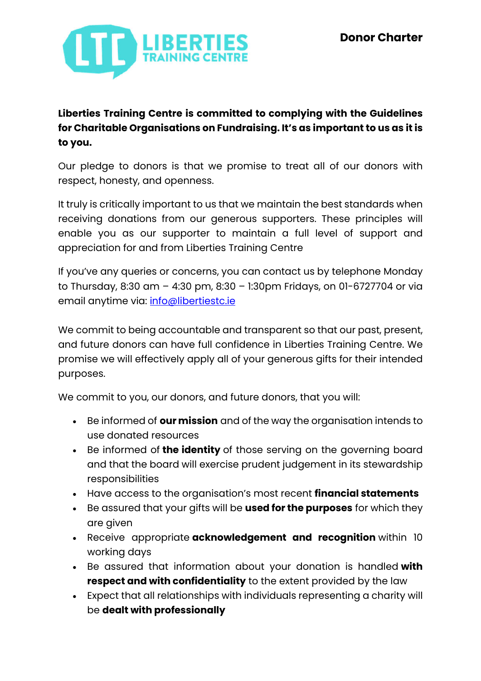

## **Liberties Training Centre is committed to complying with the Guidelines for Charitable Organisations on Fundraising. It's as important to us as it is to you.**

Our pledge to donors is that we promise to treat all of our donors with respect, honesty, and openness.

It truly is critically important to us that we maintain the best standards when receiving donations from our generous supporters. These principles will enable you as our supporter to maintain a full level of support and appreciation for and from Liberties Training Centre

If you've any queries or concerns, you can contact us by telephone Monday to Thursday, 8:30 am – 4:30 pm, 8:30 – 1:30pm Fridays, on 01-6727704 or via email anytime via: info@libertiestc.ie

We commit to being accountable and transparent so that our past, present, and future donors can have full confidence in Liberties Training Centre. We promise we will effectively apply all of your generous gifts for their intended purposes.

We commit to you, our donors, and future donors, that you will:

- Be informed of **ourmission** and of the way the organisation intends to use donated resources
- Be informed of **the identity** of those serving on the governing board and that the board will exercise prudent judgement in its stewardship responsibilities
- Have access to the organisation's most recent **financial statements**
- Be assured that your gifts will be **used for the purposes** for which they are given
- Receive appropriate **acknowledgement and recognition** within 10 working days
- Be assured that information about your donation is handled **with respect and with confidentiality** to the extent provided by the law
- Expect that all relationships with individuals representing a charity will be **dealt with professionally**